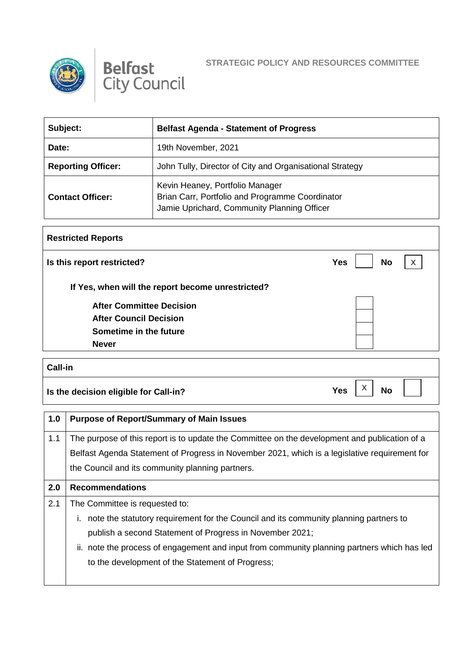



## **STRATEGIC POLICY AND RESOURCES COMMITTEE**

X

| Subject:                  | <b>Belfast Agenda - Statement of Progress</b>                                                                                     |
|---------------------------|-----------------------------------------------------------------------------------------------------------------------------------|
| Date:                     | 19th November, 2021                                                                                                               |
| <b>Reporting Officer:</b> | John Tully, Director of City and Organisational Strategy                                                                          |
| <b>Contact Officer:</b>   | Kevin Heaney, Portfolio Manager<br>Brian Carr, Portfolio and Programme Coordinator<br>Jamie Uprichard, Community Planning Officer |

| <b>Restricted Reports</b>                         |                                         |
|---------------------------------------------------|-----------------------------------------|
| Is this report restricted?                        | $\mathsf{X}$<br><b>No</b><br><b>Yes</b> |
| If Yes, when will the report become unrestricted? |                                         |
| <b>After Committee Decision</b>                   |                                         |
| <b>After Council Decision</b>                     |                                         |
| Sometime in the future                            |                                         |
| <b>Never</b>                                      |                                         |

**Call-in**

**Is the decision eligible for Call-in?** No **Yes**  $\begin{bmatrix} X \\ Y \end{bmatrix}$  No

**1.0 Purpose of Report/Summary of Main Issues** 1.1 The purpose of this report is to update the Committee on the development and publication of a Belfast Agenda Statement of Progress in November 2021, which is a legislative requirement for the Council and its community planning partners. **2.0 Recommendations** 2.1 The Committee is requested to: i. note the statutory requirement for the Council and its community planning partners to publish a second Statement of Progress in November 2021; ii. note the process of engagement and input from community planning partners which has led to the development of the Statement of Progress;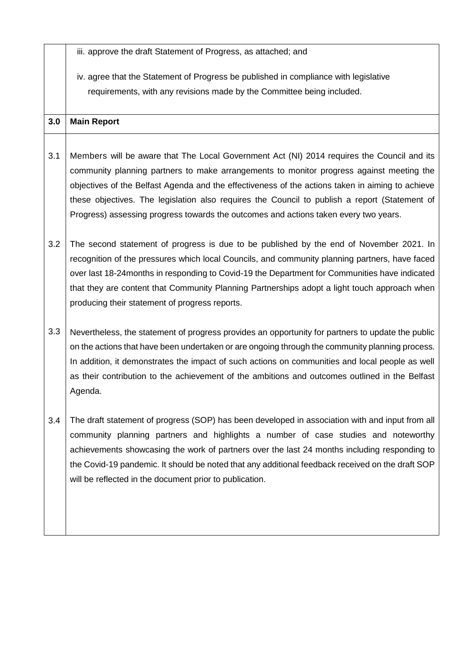|     | iii. approve the draft Statement of Progress, as attached; and                                                                                                                                                                                                                                                                                                                                                                                                                      |
|-----|-------------------------------------------------------------------------------------------------------------------------------------------------------------------------------------------------------------------------------------------------------------------------------------------------------------------------------------------------------------------------------------------------------------------------------------------------------------------------------------|
|     | iv. agree that the Statement of Progress be published in compliance with legislative                                                                                                                                                                                                                                                                                                                                                                                                |
|     | requirements, with any revisions made by the Committee being included.                                                                                                                                                                                                                                                                                                                                                                                                              |
| 3.0 | <b>Main Report</b>                                                                                                                                                                                                                                                                                                                                                                                                                                                                  |
| 3.1 | Members will be aware that The Local Government Act (NI) 2014 requires the Council and its<br>community planning partners to make arrangements to monitor progress against meeting the<br>objectives of the Belfast Agenda and the effectiveness of the actions taken in aiming to achieve<br>these objectives. The legislation also requires the Council to publish a report (Statement of<br>Progress) assessing progress towards the outcomes and actions taken every two years. |
| 3.2 | The second statement of progress is due to be published by the end of November 2021. In<br>recognition of the pressures which local Councils, and community planning partners, have faced<br>over last 18-24 months in responding to Covid-19 the Department for Communities have indicated<br>that they are content that Community Planning Partnerships adopt a light touch approach when<br>producing their statement of progress reports.                                       |
| 3.3 | Nevertheless, the statement of progress provides an opportunity for partners to update the public<br>on the actions that have been undertaken or are ongoing through the community planning process.<br>In addition, it demonstrates the impact of such actions on communities and local people as well<br>as their contribution to the achievement of the ambitions and outcomes outlined in the Belfast<br>Agenda.                                                                |
| 3.4 | The draft statement of progress (SOP) has been developed in association with and input from all<br>community planning partners and highlights a number of case studies and noteworthy<br>achievements showcasing the work of partners over the last 24 months including responding to<br>the Covid-19 pandemic. It should be noted that any additional feedback received on the draft SOP<br>will be reflected in the document prior to publication.                                |